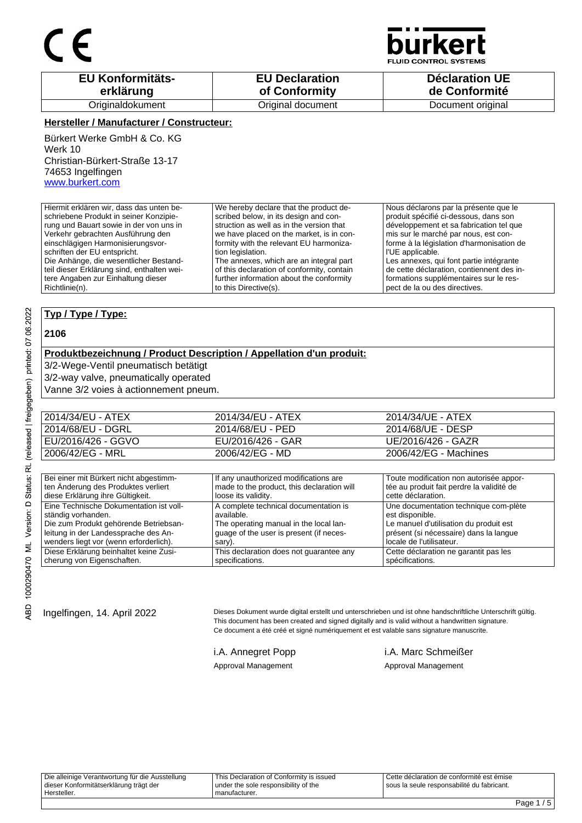

**JID CONTROL SYSTEMS** 

| <b>EU Konformitäts-</b> | <b>EU Declaration</b> | <b>Déclaration UE</b> |
|-------------------------|-----------------------|-----------------------|
| erklärung               | of Conformity         | de Conformité         |
| Originaldokument        | Original document     | Document original     |

#### **Hersteller / Manufacturer / Constructeur:**

Bürkert Werke GmbH & Co. KG Werk 10 Christian-Bürkert-Straße 13-17 74653 Ingelfingen www.burkert.com

Hiermit erklären wir, dass das unten beschriebene Produkt in seiner Konzipierung und Bauart sowie in der von uns in Verkehr gebrachten Ausführung den einschlägigen Harmonisierungsvorschriften der EU entspricht. Die Anhänge, die wesentlicher Bestandteil dieser Erklärung sind, enthalten weitere Angaben zur Einhaltung dieser Richtlinie(n). We hereby declare that the product described below, in its design and construction as well as in the version that we have placed on the market, is in conformity with the relevant EU harmonization legislation. The annexes, which are an integral part of this declaration of conformity, contain further information about the conformity to this Directive(s). Nous déclarons par la présente que le produit spécifié ci-dessous, dans son développement et sa fabrication tel que mis sur le marché par nous, est conforme à la législation d'harmonisation de l'UE applicable. Les annexes, qui font partie intégrante de cette déclaration, contiennent des informations supplémentaires sur le respect de la ou des directives.

### **Typ / Type / Type:**

#### **2106**

#### **Produktbezeichnung / Product Description / Appellation d'un produit:**

3/2-Wege-Ventil pneumatisch betätigt

3/2-way valve, pneumatically operated

Vanne 3/2 voies à actionnement pneum.

| 2014/34/EU - ATEX  | 2014/34/EU - ATEX | 2014/34/UE - ATEX     |
|--------------------|-------------------|-----------------------|
| 2014/68/EU - DGRL  | 2014/68/EU - PED  | 2014/68/UE - DESP     |
| EU/2016/426 - GGVO | EU/2016/426 - GAR | UE/2016/426 - GAZR    |
| 2006/42/EG - MRL   | 2006/42/EG - MD   | 2006/42/EG - Machines |

| Bei einer mit Bürkert nicht abgestimm-  | If any unauthorized modifications are      | Toute modification non autorisée appor-   |
|-----------------------------------------|--------------------------------------------|-------------------------------------------|
| ten Änderung des Produktes verliert     | made to the product, this declaration will | tée au produit fait perdre la validité de |
| diese Erklärung ihre Gültigkeit.        | loose its validity.                        | cette déclaration.                        |
| Eine Technische Dokumentation ist voll- | A complete technical documentation is      | Une documentation technique com-plète     |
| ständig vorhanden.                      | available.                                 | est disponible.                           |
| Die zum Produkt gehörende Betriebsan-   | The operating manual in the local lan-     | Le manuel d'utilisation du produit est    |
| leitung in der Landessprache des An-    | quage of the user is present (if neces-    | présent (si nécessaire) dans la langue    |
| wenders liegt vor (wenn erforderlich).  | sary).                                     | locale de l'utilisateur.                  |
| Diese Erklärung beinhaltet keine Zusi-  | This declaration does not quarantee any    | Cette déclaration ne garantit pas les     |
| cherung von Eigenschaften.              | specifications.                            | spécifications.                           |

Ingelfingen, 14. April 2022 Dieses Dokument wurde digital erstellt und unterschrieben und ist ohne handschriftliche Unterschrift gültig. This document has been created and signed digitally and is valid without a handwritten signature. Ce document a été créé et signé numériquement et est valable sans signature manuscrite.

i.A. Annegret Popp i.A. Marc Schmeißer Approval Management Approval Management

Die alleinige Verantwortung für die Ausstellung dieser Konformitätserklärung trägt der Hersteller. This Declaration of Conformity is issued under the sole responsibility of the manufacturer. Cette déclaration de conformité est émise sous la seule responsabilité du fabricant.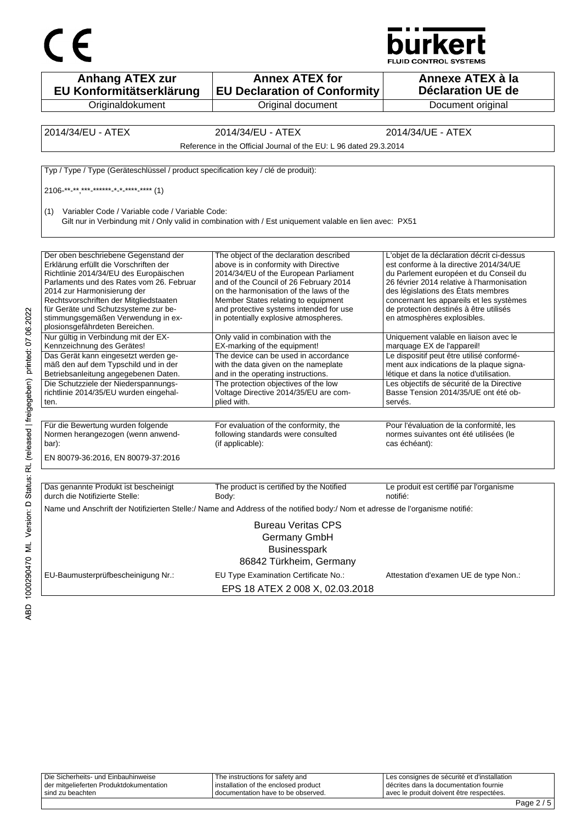



| <b>Anhang ATEX zur</b><br>EU Konformitätserklärung                                                                                                                                                                                                                                                                                                            | <b>Annex ATEX for</b><br><b>EU Declaration of Conformity</b>                                                                                                                                                                                                                                                                              | Annexe ATEX à la<br><b>Déclaration UE de</b>                                                                                                                                                                                                                                                                                            |
|---------------------------------------------------------------------------------------------------------------------------------------------------------------------------------------------------------------------------------------------------------------------------------------------------------------------------------------------------------------|-------------------------------------------------------------------------------------------------------------------------------------------------------------------------------------------------------------------------------------------------------------------------------------------------------------------------------------------|-----------------------------------------------------------------------------------------------------------------------------------------------------------------------------------------------------------------------------------------------------------------------------------------------------------------------------------------|
| Originaldokument                                                                                                                                                                                                                                                                                                                                              | Original document                                                                                                                                                                                                                                                                                                                         | Document original                                                                                                                                                                                                                                                                                                                       |
|                                                                                                                                                                                                                                                                                                                                                               |                                                                                                                                                                                                                                                                                                                                           |                                                                                                                                                                                                                                                                                                                                         |
| 2014/34/EU - ATEX                                                                                                                                                                                                                                                                                                                                             | 2014/34/EU - ATEX                                                                                                                                                                                                                                                                                                                         | 2014/34/UE - ATEX                                                                                                                                                                                                                                                                                                                       |
|                                                                                                                                                                                                                                                                                                                                                               | Reference in the Official Journal of the EU: L 96 dated 29.3.2014                                                                                                                                                                                                                                                                         |                                                                                                                                                                                                                                                                                                                                         |
| Typ / Type / Type (Geräteschlüssel / product specification key / clé de produit):                                                                                                                                                                                                                                                                             |                                                                                                                                                                                                                                                                                                                                           |                                                                                                                                                                                                                                                                                                                                         |
| $2106$ <sup>**</sup> **,***,*******,*,*,****,**** (1)                                                                                                                                                                                                                                                                                                         |                                                                                                                                                                                                                                                                                                                                           |                                                                                                                                                                                                                                                                                                                                         |
| Variabler Code / Variable code / Variable Code:<br>(1)                                                                                                                                                                                                                                                                                                        | Gilt nur in Verbindung mit / Only valid in combination with / Est uniquement valable en lien avec: PX51                                                                                                                                                                                                                                   |                                                                                                                                                                                                                                                                                                                                         |
| Der oben beschriebene Gegenstand der<br>Erklärung erfüllt die Vorschriften der<br>Richtlinie 2014/34/EU des Europäischen<br>Parlaments und des Rates vom 26. Februar<br>2014 zur Harmonisierung der<br>Rechtsvorschriften der Mitgliedstaaten<br>für Geräte und Schutzsysteme zur be-<br>stimmungsgemäßen Verwendung in ex-<br>plosionsgefährdeten Bereichen. | The object of the declaration described<br>above is in conformity with Directive<br>2014/34/EU of the European Parliament<br>and of the Council of 26 February 2014<br>on the harmonisation of the laws of the<br>Member States relating to equipment<br>and protective systems intended for use<br>in potentially explosive atmospheres. | L'objet de la déclaration décrit ci-dessus<br>est conforme à la directive 2014/34/UE<br>du Parlement européen et du Conseil du<br>26 février 2014 relative à l'harmonisation<br>des législations des États membres<br>concernant les appareils et les systèmes<br>de protection destinés à être utilisés<br>en atmosphères explosibles. |
| Nur gültig in Verbindung mit der EX-<br>Kennzeichnung des Gerätes!                                                                                                                                                                                                                                                                                            | Only valid in combination with the<br>EX-marking of the equipment!                                                                                                                                                                                                                                                                        | Uniquement valable en liaison avec le<br>marquage EX de l'appareil!                                                                                                                                                                                                                                                                     |
| Das Gerät kann eingesetzt werden ge-<br>mäß den auf dem Typschild und in der<br>Betriebsanleitung angegebenen Daten.                                                                                                                                                                                                                                          | The device can be used in accordance<br>with the data given on the nameplate<br>and in the operating instructions.                                                                                                                                                                                                                        | Le dispositif peut être utilisé conformé-<br>ment aux indications de la plaque signa-<br>létique et dans la notice d'utilisation.                                                                                                                                                                                                       |
| Die Schutzziele der Niederspannungs-<br>richtlinie 2014/35/EU wurden eingehal-<br>ten.                                                                                                                                                                                                                                                                        | The protection objectives of the low<br>Voltage Directive 2014/35/EU are com-<br>plied with.                                                                                                                                                                                                                                              | Les objectifs de sécurité de la Directive<br>Basse Tension 2014/35/UE ont été ob-<br>servés.                                                                                                                                                                                                                                            |
| Für die Bewertung wurden folgende<br>Normen herangezogen (wenn anwend-<br>bar):<br>EN 80079-36:2016, EN 80079-37:2016                                                                                                                                                                                                                                         | For evaluation of the conformity, the<br>following standards were consulted<br>(if applicable):                                                                                                                                                                                                                                           | Pour l'évaluation de la conformité, les<br>normes suivantes ont été utilisées (le<br>cas échéant):                                                                                                                                                                                                                                      |
| Das genannte Produkt ist bescheinigt<br>durch die Notifizierte Stelle:                                                                                                                                                                                                                                                                                        | The product is certified by the Notified<br>Body:                                                                                                                                                                                                                                                                                         | Le produit est certifié par l'organisme<br>notifié:                                                                                                                                                                                                                                                                                     |
|                                                                                                                                                                                                                                                                                                                                                               | Name und Anschrift der Notifizierten Stelle:/ Name and Address of the notified body:/ Nom et adresse de l'organisme notifié:                                                                                                                                                                                                              |                                                                                                                                                                                                                                                                                                                                         |
|                                                                                                                                                                                                                                                                                                                                                               | <b>Bureau Veritas CPS</b><br>Germany GmbH<br><b>Businesspark</b><br>86842 Türkheim, Germany                                                                                                                                                                                                                                               |                                                                                                                                                                                                                                                                                                                                         |
| EU-Baumusterprüfbescheinigung Nr.:                                                                                                                                                                                                                                                                                                                            | EU Type Examination Certificate No.:<br>EPS 18 ATEX 2 008 X, 02.03.2018                                                                                                                                                                                                                                                                   | Attestation d'examen UE de type Non.:                                                                                                                                                                                                                                                                                                   |

| i sind zu beachten                      | documentation have to be observed.   | I avec le produit doivent être respectées.  |  |
|-----------------------------------------|--------------------------------------|---------------------------------------------|--|
| der mitgelieferten Produktdokumentation | installation of the enclosed product | I décrites dans la documentation fournie    |  |
| Die Sicherheits- und Einbauhinweise     | The instructions for safety and      | Les consignes de sécurité et d'installation |  |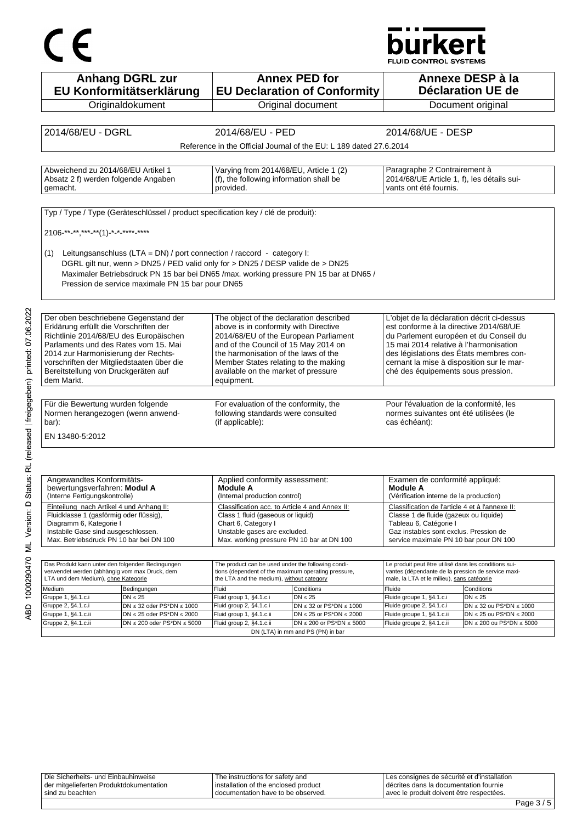# $C \in$

## **burkert**

FLUID CONTROL SYSTEMS

| <b>Anhang DGRL zur</b><br>EU Konformitätserklärung                                                                                                                                | <b>Annex PED for</b><br><b>EU Declaration of Conformity</b>                                    |                                                                      |                                                                                                      | Annexe DESP à la<br><b>Déclaration UE de</b>                        |
|-----------------------------------------------------------------------------------------------------------------------------------------------------------------------------------|------------------------------------------------------------------------------------------------|----------------------------------------------------------------------|------------------------------------------------------------------------------------------------------|---------------------------------------------------------------------|
| Originaldokument                                                                                                                                                                  | Original document                                                                              |                                                                      |                                                                                                      | Document original                                                   |
|                                                                                                                                                                                   |                                                                                                |                                                                      |                                                                                                      |                                                                     |
| 2014/68/EU - DGRL                                                                                                                                                                 | 2014/68/EU - PED                                                                               |                                                                      | 2014/68/UE - DESP                                                                                    |                                                                     |
|                                                                                                                                                                                   |                                                                                                |                                                                      |                                                                                                      |                                                                     |
|                                                                                                                                                                                   | Reference in the Official Journal of the EU: L 189 dated 27.6.2014                             |                                                                      |                                                                                                      |                                                                     |
|                                                                                                                                                                                   |                                                                                                |                                                                      |                                                                                                      |                                                                     |
| Abweichend zu 2014/68/EU Artikel 1<br>Absatz 2 f) werden folgende Angaben<br>gemacht.                                                                                             | Varying from 2014/68/EU, Article 1 (2)<br>(f), the following information shall be<br>provided. |                                                                      | Paragraphe 2 Contrairement à<br>2014/68/UE Article 1, f), les détails sui-<br>vants ont été fournis. |                                                                     |
|                                                                                                                                                                                   |                                                                                                |                                                                      |                                                                                                      |                                                                     |
| Typ / Type / Type (Geräteschlüssel / product specification key / clé de produit):                                                                                                 |                                                                                                |                                                                      |                                                                                                      |                                                                     |
|                                                                                                                                                                                   |                                                                                                |                                                                      |                                                                                                      |                                                                     |
| 2106-**-**,***-**(1)-*-*-****-****                                                                                                                                                |                                                                                                |                                                                      |                                                                                                      |                                                                     |
|                                                                                                                                                                                   |                                                                                                |                                                                      |                                                                                                      |                                                                     |
| Leitungsanschluss (LTA = DN) / port connection / raccord - category I:<br>(1)                                                                                                     |                                                                                                |                                                                      |                                                                                                      |                                                                     |
| DGRL gilt nur, wenn > DN25 / PED valid only for > DN25 / DESP valide de > DN25                                                                                                    |                                                                                                |                                                                      |                                                                                                      |                                                                     |
| Maximaler Betriebsdruck PN 15 bar bei DN65 /max. working pressure PN 15 bar at DN65 /                                                                                             |                                                                                                |                                                                      |                                                                                                      |                                                                     |
| Pression de service maximale PN 15 bar pour DN65                                                                                                                                  |                                                                                                |                                                                      |                                                                                                      |                                                                     |
|                                                                                                                                                                                   |                                                                                                |                                                                      |                                                                                                      |                                                                     |
|                                                                                                                                                                                   |                                                                                                |                                                                      |                                                                                                      |                                                                     |
| Der oben beschriebene Gegenstand der                                                                                                                                              | The object of the declaration described                                                        |                                                                      | L'objet de la déclaration décrit ci-dessus                                                           |                                                                     |
| Erklärung erfüllt die Vorschriften der                                                                                                                                            | above is in conformity with Directive                                                          |                                                                      | est conforme à la directive 2014/68/UE                                                               |                                                                     |
| Richtlinie 2014/68/EU des Europäischen                                                                                                                                            | 2014/68/EU of the European Parliament                                                          |                                                                      | du Parlement européen et du Conseil du                                                               |                                                                     |
| Parlaments und des Rates vom 15. Mai                                                                                                                                              | and of the Council of 15 May 2014 on                                                           |                                                                      | 15 mai 2014 relative à l'harmonisation                                                               |                                                                     |
| 2014 zur Harmonisierung der Rechts-                                                                                                                                               | the harmonisation of the laws of the                                                           |                                                                      | des législations des États membres con-                                                              |                                                                     |
| vorschriften der Mitgliedstaaten über die                                                                                                                                         | Member States relating to the making                                                           |                                                                      | cernant la mise à disposition sur le mar-                                                            |                                                                     |
| Bereitstellung von Druckgeräten auf                                                                                                                                               | available on the market of pressure                                                            |                                                                      | ché des équipements sous pression.                                                                   |                                                                     |
| dem Markt.                                                                                                                                                                        | equipment.                                                                                     |                                                                      |                                                                                                      |                                                                     |
|                                                                                                                                                                                   |                                                                                                |                                                                      |                                                                                                      |                                                                     |
|                                                                                                                                                                                   |                                                                                                |                                                                      |                                                                                                      |                                                                     |
| Für die Bewertung wurden folgende                                                                                                                                                 | For evaluation of the conformity, the                                                          |                                                                      | Pour l'évaluation de la conformité, les                                                              |                                                                     |
| Normen herangezogen (wenn anwend-                                                                                                                                                 | following standards were consulted                                                             |                                                                      | normes suivantes ont été utilisées (le                                                               |                                                                     |
| bar):                                                                                                                                                                             | (if applicable):                                                                               |                                                                      | cas échéant):                                                                                        |                                                                     |
| EN 13480-5:2012                                                                                                                                                                   |                                                                                                |                                                                      |                                                                                                      |                                                                     |
|                                                                                                                                                                                   |                                                                                                |                                                                      |                                                                                                      |                                                                     |
|                                                                                                                                                                                   |                                                                                                |                                                                      |                                                                                                      |                                                                     |
|                                                                                                                                                                                   |                                                                                                |                                                                      |                                                                                                      |                                                                     |
| Angewandtes Konformitäts-                                                                                                                                                         | Applied conformity assessment:                                                                 |                                                                      | Examen de conformité appliqué:                                                                       |                                                                     |
| bewertungsverfahren: Modul A                                                                                                                                                      | <b>Module A</b>                                                                                |                                                                      | <b>Module A</b>                                                                                      |                                                                     |
| (Interne Fertigungskontrolle)                                                                                                                                                     | (Internal production control)                                                                  |                                                                      | (Vérification interne de la production)                                                              |                                                                     |
|                                                                                                                                                                                   |                                                                                                |                                                                      |                                                                                                      |                                                                     |
| Einteilung nach Artikel 4 und Anhang II:                                                                                                                                          | Classification acc. to Article 4 and Annex II:                                                 |                                                                      | Classification de l'article 4 et à l'annexe II:                                                      |                                                                     |
| Fluidklasse 1 (gasförmig oder flüssig),                                                                                                                                           | Class 1 fluid (gaseous or liquid)                                                              |                                                                      | Classe 1 de fluide (gazeux ou liquide)                                                               |                                                                     |
| Diagramm 6, Kategorie I                                                                                                                                                           | Chart 6, Category I                                                                            |                                                                      | Tableau 6, Catégorie I                                                                               |                                                                     |
| Instabile Gase sind ausgeschlossen.                                                                                                                                               | Unstable gases are excluded.                                                                   |                                                                      | Gaz instables sont exclus. Pression de                                                               |                                                                     |
| Max. Betriebsdruck PN 10 bar bei DN 100                                                                                                                                           | Max. working pressure PN 10 bar at DN 100                                                      |                                                                      | service maximale PN 10 bar pour DN 100                                                               |                                                                     |
|                                                                                                                                                                                   |                                                                                                |                                                                      |                                                                                                      |                                                                     |
| Das Produkt kann unter den folgenden Bedingungen                                                                                                                                  | The product can be used under the following condi-                                             |                                                                      | Le produit peut être utilisé dans les conditions sui-                                                |                                                                     |
|                                                                                                                                                                                   | tions (dependent of the maximum operating pressure,                                            |                                                                      | vantes (dépendante de la pression de service maxi-                                                   |                                                                     |
|                                                                                                                                                                                   | the LTA and the medium), without category                                                      |                                                                      | male, la LTA et le milieu), sans catégorie                                                           |                                                                     |
| Bedingungen                                                                                                                                                                       | Fluid<br>Conditions                                                                            |                                                                      | Fluide                                                                                               | Conditions                                                          |
| $DN \leq 25$                                                                                                                                                                      | Fluid group 1, §4.1.c.i<br>$DN \leq 25$                                                        |                                                                      | Fluide groupe 1, §4.1.c.i                                                                            | $DN \leq 25$                                                        |
| verwendet werden (abhängig vom max Druck, dem<br>LTA und dem Medium), ohne Kategorie<br>Medium<br>Gruppe 1, §4.1.c.i<br>Gruppe 2, §4.1.c.i<br>$DN \leq 32$ oder PS*DN $\leq 1000$ | Fluid group 2, §4.1.c.i                                                                        | DN $\leq$ 32 or PS*DN $\leq$ 1000                                    | Fluide groupe 2, §4.1.c.i                                                                            | $DN \leq 32$ ou PS*DN $\leq 1000$                                   |
| Gruppe 1, §4.1.c.ii<br>$DN \le 25$ oder PS*DN $\le 2000$<br>Gruppe 2, §4.1.c.ii<br>$DN \le 200$ oder PS*DN $\le 5000$                                                             | Fluid group 1, §4.1.c.ii<br>Fluid group 2, §4.1.c.ii                                           | $DN \le 25$ or PS*DN $\le 2000$<br>$DN \le 200$ or $PS^*DN \le 5000$ | Fluide groupe 1, §4.1.c.ii<br>Fluide groupe 2, §4.1.c.ii                                             | $DN \le 25$ ou PS*DN $\le 2000$<br>$DN \le 200$ ou PS*DN $\le 5000$ |

| Die Sicherheits- und Einbauhinweise     | The instructions for safety and        | Les consignes de sécurité et d'installation |
|-----------------------------------------|----------------------------------------|---------------------------------------------|
| der mitgelieferten Produktdokumentation | I installation of the enclosed product | décrites dans la documentation fournie      |
| l sind zu beachten.                     | I documentation have to be observed.   | l avec le produit doivent être respectées.  |
|                                         |                                        |                                             |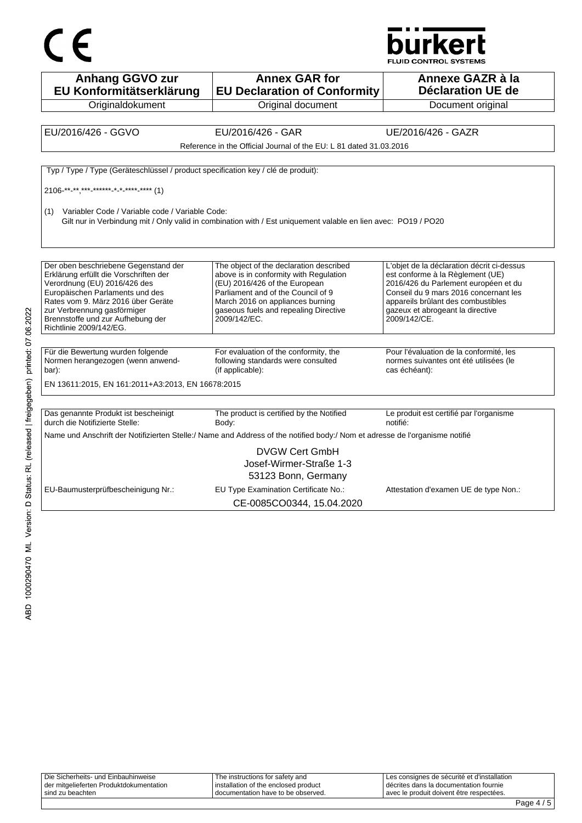



**Anhang GGVO zur EU Konformitätserklärung Originaldokument Annex GAR for EU Declaration of Conformity** Original document **Annexe GAZR à la Déclaration UE de**  Document original EU/2016/426 - GGVO EU/2016/426 - GAR UE/2016/426 - GAZR Reference in the Official Journal of the EU: L 81 dated 31.03.2016 Typ / Type / Type (Geräteschlüssel / product specification key / clé de produit): 2106<sup>-\*\*</sup>-\*\*\*\*\*\*-\*\*\*\*\*-\*-\*<sup>-\*\*\*\*</sup>-\*\*\*\* (1) (1) Variabler Code / Variable code / Variable Code: Gilt nur in Verbindung mit / Only valid in combination with / Est uniquement valable en lien avec: PO19 / PO20 Der oben beschriebene Gegenstand der Erklärung erfüllt die Vorschriften der Verordnung (EU) 2016/426 des Europäischen Parlaments und des Rates vom 9. März 2016 über Geräte zur Verbrennung gasförmiger Brennstoffe und zur Aufhebung der Richtlinie 2009/142/EG. The object of the declaration described above is in conformity with Regulation (EU) 2016/426 of the European Parliament and of the Council of 9 March 2016 on appliances burning gaseous fuels and repealing Directive 2009/142/EC. L'objet de la déclaration décrit ci-dessus est conforme à la Règlement (UE) 2016/426 du Parlement européen et du Conseil du 9 mars 2016 concernant les appareils brûlant des combustibles gazeux et abrogeant la directive 2009/142/CE. Für die Bewertung wurden folgende Normen herangezogen (wenn anwendbar): For evaluation of the conformity, the following standards were consulted (if applicable): Pour l'évaluation de la conformité, les normes suivantes ont été utilisées (le cas échéant): EN 13611:2015, EN 161:2011+A3:2013, EN 16678:2015 Das genannte Produkt ist bescheinigt durch die Notifizierte Stelle: The product is certified by the Notified Body: Le produit est certifié par l'organisme notifié: Name und Anschrift der Notifizierten Stelle:/ Name and Address of the notified body:/ Nom et adresse de l'organisme notifié DVGW Cert GmbH Josef-Wirmer-Straße 1-3 53123 Bonn, Germany EU-Baumusterprüfbescheinigung Nr.: EU Type Examination Certificate No.: Attestation d'examen UE de type Non.: CE-0085CO0344, 15.04.2020

| Die Sicherheits- und Einbauhinweise<br>der mitgelieferten Produktdokumentation | The instructions for safety and<br>I installation of the enclosed product | Les consignes de sécurité et d'installation<br>l décrites dans la documentation fournie |  |
|--------------------------------------------------------------------------------|---------------------------------------------------------------------------|-----------------------------------------------------------------------------------------|--|
| sind zu beachten                                                               | I documentation have to be observed.                                      | l avec le produit doivent être respectées.                                              |  |
|                                                                                |                                                                           | _                                                                                       |  |